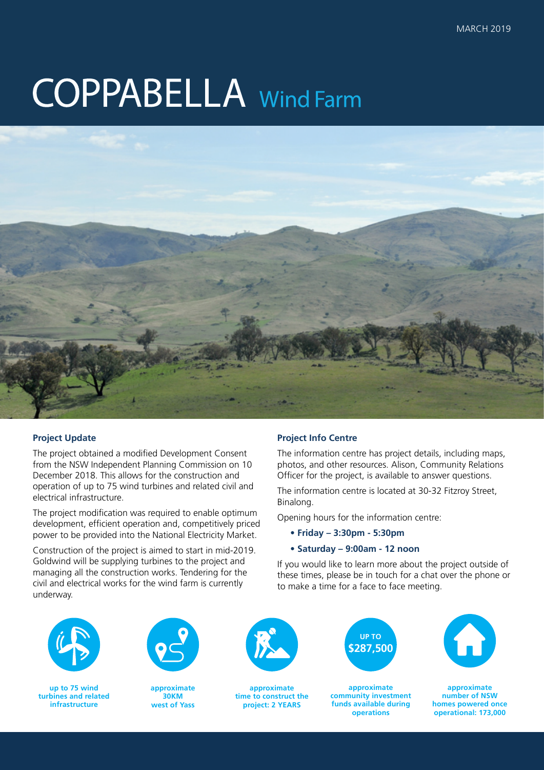# **COPPABELLA** Wind Farm



## **Project Update**

The project obtained a modified Development Consent from the NSW Independent Planning Commission on 10 December 2018. This allows for the construction and operation of up to 75 wind turbines and related civil and electrical infrastructure.

The project modification was required to enable optimum development, efficient operation and, competitively priced power to be provided into the National Electricity Market.

Construction of the project is aimed to start in mid-2019. Goldwind will be supplying turbines to the project and managing all the construction works. Tendering for the civil and electrical works for the wind farm is currently underway.

## **Project Info Centre**

The information centre has project details, including maps, photos, and other resources. Alison, Community Relations Officer for the project, is available to answer questions.

The information centre is located at 30-32 Fitzroy Street, Binalong.

Opening hours for the information centre:

**• Friday – 3:30pm - 5:30pm**

#### **• Saturday – 9:00am - 12 noon**

If you would like to learn more about the project outside of these times, please be in touch for a chat over the phone or to make a time for a face to face meeting.



**up to 75 wind turbines and related infrastructure**



**approximate 30KM west of Yass**



**approximate time to construct the project: 2 YEARS**



**approximate community investment funds available during operations**



**approximate number of NSW homes powered once operational: 173,000**